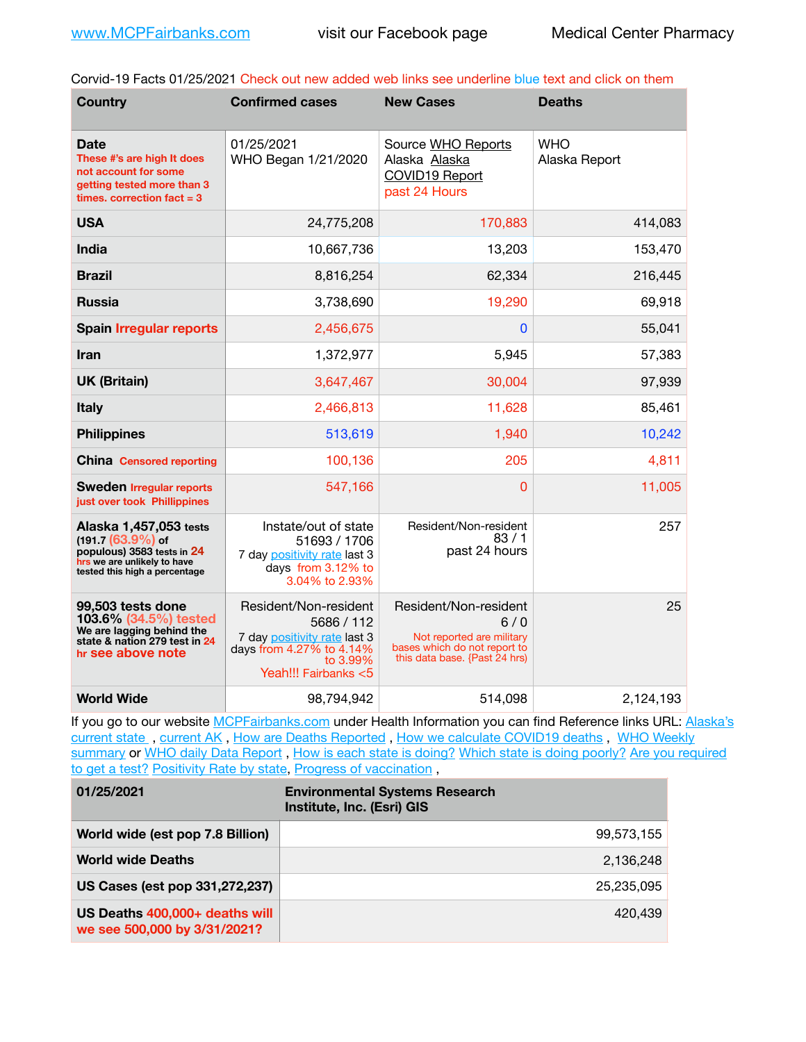Corvid-19 Facts 01/25/2021 Check out new added web links see underline blue text and click on them

| <b>Country</b>                                                                                                                              | <b>Confirmed cases</b>                                                                                                              | <b>New Cases</b>                                                                                                           | <b>Deaths</b>               |
|---------------------------------------------------------------------------------------------------------------------------------------------|-------------------------------------------------------------------------------------------------------------------------------------|----------------------------------------------------------------------------------------------------------------------------|-----------------------------|
| Date<br>These #'s are high It does<br>not account for some<br>getting tested more than 3<br>times, correction $fact = 3$                    | 01/25/2021<br>WHO Began 1/21/2020                                                                                                   | Source WHO Reports<br>Alaska Alaska<br>COVID19 Report<br>past 24 Hours                                                     | <b>WHO</b><br>Alaska Report |
| <b>USA</b>                                                                                                                                  | 24,775,208                                                                                                                          | 170,883                                                                                                                    | 414,083                     |
| <b>India</b>                                                                                                                                | 10,667,736                                                                                                                          | 13,203                                                                                                                     | 153,470                     |
| <b>Brazil</b>                                                                                                                               | 8,816,254                                                                                                                           | 62,334                                                                                                                     | 216,445                     |
| <b>Russia</b>                                                                                                                               | 3,738,690                                                                                                                           | 19,290                                                                                                                     | 69,918                      |
| <b>Spain Irregular reports</b>                                                                                                              | 2,456,675                                                                                                                           | 0                                                                                                                          | 55,041                      |
| Iran                                                                                                                                        | 1,372,977                                                                                                                           | 5,945                                                                                                                      | 57,383                      |
| <b>UK (Britain)</b>                                                                                                                         | 3,647,467                                                                                                                           | 30,004                                                                                                                     | 97,939                      |
| <b>Italy</b>                                                                                                                                | 2,466,813                                                                                                                           | 11,628                                                                                                                     | 85,461                      |
| <b>Philippines</b>                                                                                                                          | 513,619                                                                                                                             | 1,940                                                                                                                      | 10,242                      |
| <b>China Censored reporting</b>                                                                                                             | 100,136                                                                                                                             | 205                                                                                                                        | 4,811                       |
| <b>Sweden Irregular reports</b><br>just over took Phillippines                                                                              | 547,166                                                                                                                             | 0                                                                                                                          | 11,005                      |
| Alaska 1,457,053 tests<br>$(191.7 (63.9%)$ of<br>populous) 3583 tests in 24<br>hrs we are unlikely to have<br>tested this high a percentage | Instate/out of state<br>51693 / 1706<br>7 day positivity rate last 3<br>days from 3.12% to<br>3.04% to 2.93%                        | Resident/Non-resident<br>83/1<br>past 24 hours                                                                             | 257                         |
| 99,503 tests done<br>103.6% (34.5%) tested<br>We are lagging behind the<br>state & nation 279 test in 24<br>hr see above note               | Resident/Non-resident<br>5686 / 112<br>7 day positivity rate last 3<br>days from 4.27% to 4.14%<br>to 3.99%<br>Yeah!!! Fairbanks <5 | Resident/Non-resident<br>6/0<br>Not reported are military<br>bases which do not report to<br>this data base. {Past 24 hrs) | 25                          |
| <b>World Wide</b>                                                                                                                           | 98,794,942                                                                                                                          | 514,098                                                                                                                    | 2,124,193                   |

If you go to our website [MCPFairbanks.com](http://www.MCPFairbanks.com) under Health Information you can find Reference links URL: Alaska's current state, current AK, [How are Deaths Reported](http://dhss.alaska.gov/dph/Epi/id/Pages/COVID-19/deathcounts.aspx), [How we calculate COVID19 deaths](https://coronavirus-response-alaska-dhss.hub.arcgis.com/search?collection=Document&groupIds=41ccb3344ebc4bd682c74073eba21f42), WHO Weekly [summary](http://www.who.int) or [WHO daily Data Report](https://covid19.who.int/table), [How is each state is doing?](https://www.msn.com/en-us/news/us/state-by-state-coronavirus-news/ar-BB13E1PX?fbclid=IwAR0_OBJH7lSyTN3ug_MsOeFnNgB1orTa9OBgilKJ7dhnwlVvHEsptuKkj1c) [Which state is doing poorly?](https://bestlifeonline.com/covid-outbreak-your-state/?utm_source=nsltr&utm_medium=email&utm_content=covid-outbreak-your-state&utm_campaign=launch) Are you required [to get a test?](http://dhss.alaska.gov/dph/Epi/id/SiteAssets/Pages/HumanCoV/Whattodoafteryourtest.pdf) [Positivity Rate by state](https://coronavirus.jhu.edu/testing/individual-states/alaska), [Progress of vaccination](https://covid.cdc.gov/covid-data-tracker/#vaccinations),

| 01/25/2021                                                     | <b>Environmental Systems Research</b><br>Institute, Inc. (Esri) GIS |
|----------------------------------------------------------------|---------------------------------------------------------------------|
| World wide (est pop 7.8 Billion)                               | 99.573.155                                                          |
| <b>World wide Deaths</b>                                       | 2.136.248                                                           |
| US Cases (est pop 331,272,237)                                 | 25.235.095                                                          |
| US Deaths 400,000+ deaths will<br>we see 500,000 by 3/31/2021? | 420.439                                                             |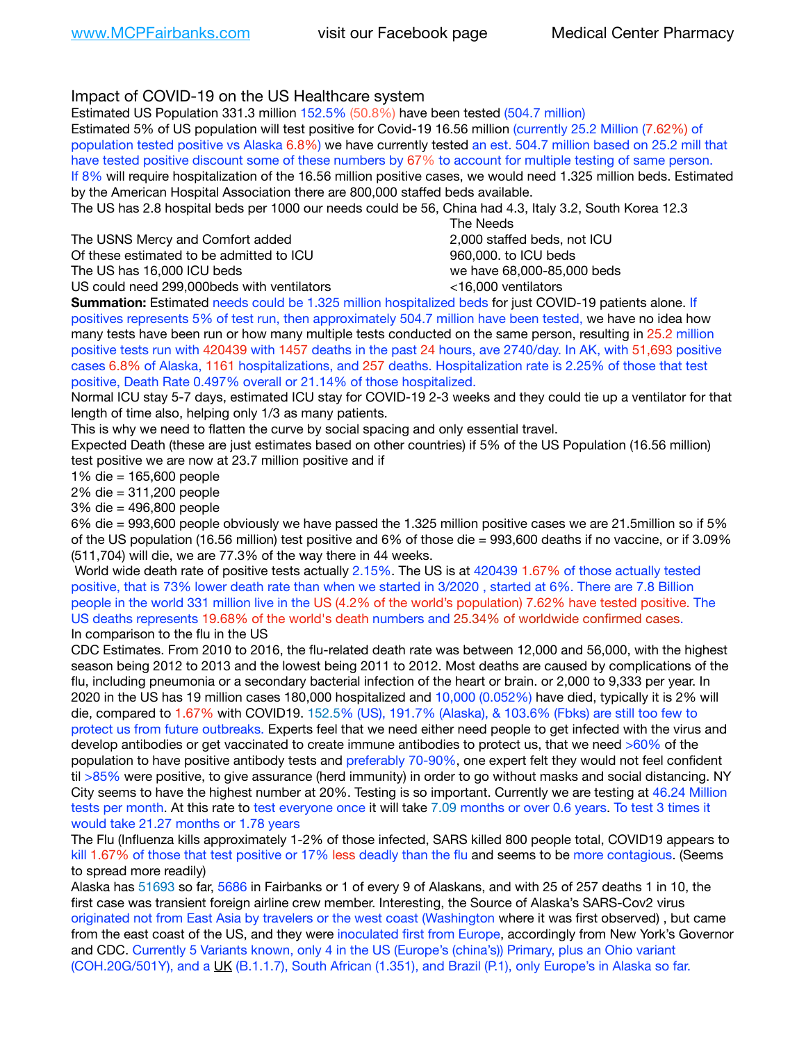## Impact of COVID-19 on the US Healthcare system

Estimated US Population 331.3 million 152.5% (50.8%) have been tested (504.7 million)

Estimated 5% of US population will test positive for Covid-19 16.56 million (currently 25.2 Million (7.62%) of population tested positive vs Alaska 6.8%) we have currently tested an est. 504.7 million based on 25.2 mill that have tested positive discount some of these numbers by 67% to account for multiple testing of same person. If 8% will require hospitalization of the 16.56 million positive cases, we would need 1.325 million beds. Estimated by the American Hospital Association there are 800,000 staffed beds available.

The US has 2.8 hospital beds per 1000 our needs could be 56, China had 4.3, Italy 3.2, South Korea 12.3

The USNS Mercy and Comfort added **8.2000** staffed beds, not ICU Of these estimated to be admitted to ICU 860,000. to ICU beds The US has 16,000 ICU beds we have 68,000-85,000 beds

US could need 299,000beds with ventilators <16,000 ventilators

 The Needs

**Summation:** Estimated needs could be 1.325 million hospitalized beds for just COVID-19 patients alone. If positives represents 5% of test run, then approximately 504.7 million have been tested, we have no idea how many tests have been run or how many multiple tests conducted on the same person, resulting in 25.2 million positive tests run with 420439 with 1457 deaths in the past 24 hours, ave 2740/day. In AK, with 51,693 positive cases 6.8% of Alaska, 1161 hospitalizations, and 257 deaths. Hospitalization rate is 2.25% of those that test positive, Death Rate 0.497% overall or 21.14% of those hospitalized.

Normal ICU stay 5-7 days, estimated ICU stay for COVID-19 2-3 weeks and they could tie up a ventilator for that length of time also, helping only 1/3 as many patients.

This is why we need to flatten the curve by social spacing and only essential travel.

Expected Death (these are just estimates based on other countries) if 5% of the US Population (16.56 million) test positive we are now at 23.7 million positive and if

1% die = 165,600 people

2% die = 311,200 people

3% die = 496,800 people

6% die = 993,600 people obviously we have passed the 1.325 million positive cases we are 21.5million so if 5% of the US population (16.56 million) test positive and 6% of those die = 993,600 deaths if no vaccine, or if 3.09% (511,704) will die, we are 77.3% of the way there in 44 weeks.

 World wide death rate of positive tests actually 2.15%. The US is at 420439 1.67% of those actually tested positive, that is 73% lower death rate than when we started in 3/2020 , started at 6%. There are 7.8 Billion people in the world 331 million live in the US (4.2% of the world's population) 7.62% have tested positive. The US deaths represents 19.68% of the world's death numbers and 25.34% of worldwide confirmed cases. In comparison to the flu in the US

CDC Estimates. From 2010 to 2016, the flu-related death rate was between 12,000 and 56,000, with the highest season being 2012 to 2013 and the lowest being 2011 to 2012. Most deaths are caused by complications of the flu, including pneumonia or a secondary bacterial infection of the heart or brain. or 2,000 to 9,333 per year. In 2020 in the US has 19 million cases 180,000 hospitalized and 10,000 (0.052%) have died, typically it is 2% will die, compared to 1.67% with COVID19. 152.5% (US), 191.7% (Alaska), & 103.6% (Fbks) are still too few to protect us from future outbreaks. Experts feel that we need either need people to get infected with the virus and develop antibodies or get vaccinated to create immune antibodies to protect us, that we need >60% of the population to have positive antibody tests and preferably 70-90%, one expert felt they would not feel confident til >85% were positive, to give assurance (herd immunity) in order to go without masks and social distancing. NY City seems to have the highest number at 20%. Testing is so important. Currently we are testing at 46.24 Million tests per month. At this rate to test everyone once it will take 7.09 months or over 0.6 years. To test 3 times it would take 21.27 months or 1.78 years

The Flu (Influenza kills approximately 1-2% of those infected, SARS killed 800 people total, COVID19 appears to kill 1.67% of those that test positive or 17% less deadly than the flu and seems to be more contagious. (Seems to spread more readily)

Alaska has 51693 so far, 5686 in Fairbanks or 1 of every 9 of Alaskans, and with 25 of 257 deaths 1 in 10, the first case was transient foreign airline crew member. Interesting, the Source of Alaska's SARS-Cov2 virus originated not from East Asia by travelers or the west coast (Washington where it was first observed) , but came from the east coast of the US, and they were inoculated first from Europe, accordingly from New York's Governor and CDC. Currently 5 Variants known, only 4 in the US (Europe's (china's)) Primary, plus an Ohio variant (COH.20G/501Y), and a [UK](https://www.cdc.gov/coronavirus/2019-ncov/transmission/variant-cases.html) (B.1.1.7), South African (1.351), and Brazil (P.1), only Europe's in Alaska so far.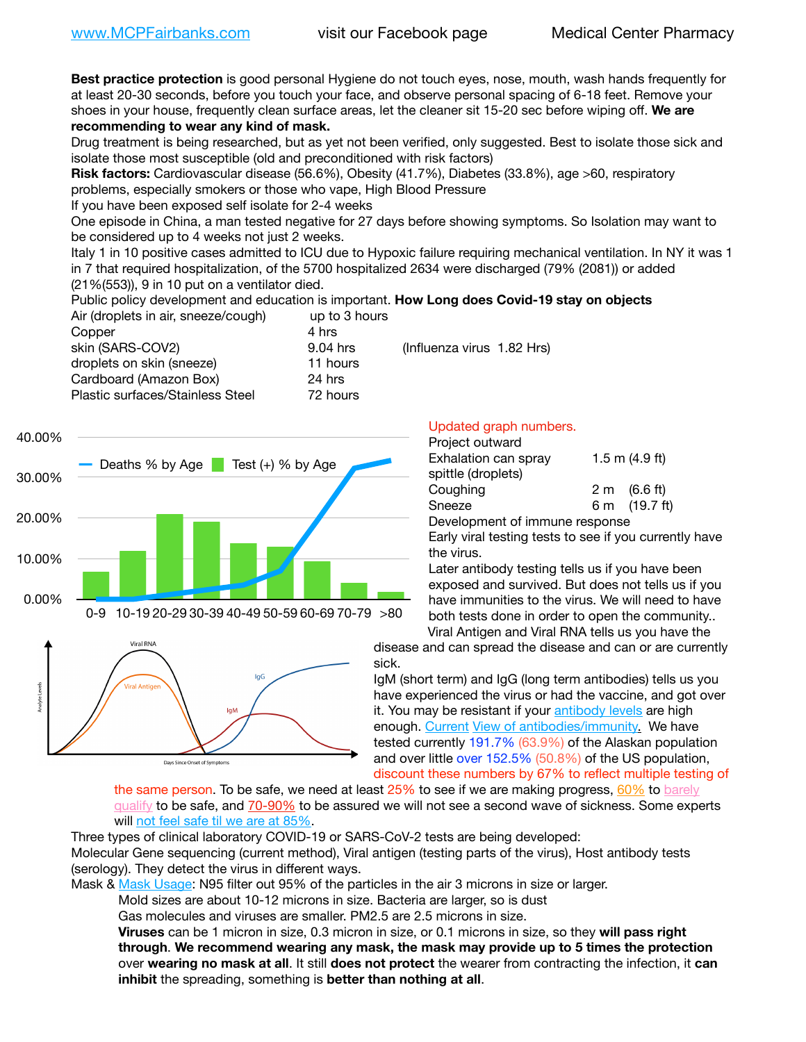**Best practice protection** is good personal Hygiene do not touch eyes, nose, mouth, wash hands frequently for at least 20-30 seconds, before you touch your face, and observe personal spacing of 6-18 feet. Remove your shoes in your house, frequently clean surface areas, let the cleaner sit 15-20 sec before wiping off. **We are recommending to wear any kind of mask.**

Drug treatment is being researched, but as yet not been verified, only suggested. Best to isolate those sick and isolate those most susceptible (old and preconditioned with risk factors)

**Risk factors:** Cardiovascular disease (56.6%), Obesity (41.7%), Diabetes (33.8%), age >60, respiratory problems, especially smokers or those who vape, High Blood Pressure

If you have been exposed self isolate for 2-4 weeks

One episode in China, a man tested negative for 27 days before showing symptoms. So Isolation may want to be considered up to 4 weeks not just 2 weeks.

Italy 1 in 10 positive cases admitted to ICU due to Hypoxic failure requiring mechanical ventilation. In NY it was 1 in 7 that required hospitalization, of the 5700 hospitalized 2634 were discharged (79% (2081)) or added (21%(553)), 9 in 10 put on a ventilator died.

Public policy development and education is important. **How Long does Covid-19 stay on objects**

| up to 3 hours                          |
|----------------------------------------|
|                                        |
| (Influenza virus 1.82 Hrs)<br>9.04 hrs |
| 11 hours                               |
| 24 hrs                                 |
| 72 hours                               |
|                                        |





### Updated graph numbers.

| Project outward                |                        |
|--------------------------------|------------------------|
| Exhalation can spray           | 1.5 m $(4.9$ ft)       |
| spittle (droplets)             |                        |
| Coughing                       | $2 \text{ m}$ (6.6 ft) |
| Sneeze                         | 6 m (19.7 ft)          |
| Development of immune response |                        |
|                                |                        |

Early viral testing tests to see if you currently have the virus.

Later antibody testing tells us if you have been exposed and survived. But does not tells us if you have immunities to the virus. We will need to have both tests done in order to open the community.. Viral Antigen and Viral RNA tells us you have the

disease and can spread the disease and can or are currently sick.

IgM (short term) and IgG (long term antibodies) tells us you have experienced the virus or had the vaccine, and got over it. You may be resistant if your [antibody levels](https://www.cdc.gov/coronavirus/2019-ncov/lab/resources/antibody-tests.html) are high enough. [Current](https://l.facebook.com/l.php?u=https://www.itv.com/news/2020-10-26/covid-19-antibody-levels-reduce-over-time-study-finds?fbclid=IwAR3Dapzh1qIH1EIOdUQI2y8THf7jfA4KBCaJz8Qg-8xe1YsrR4nsAHDIXSY&h=AT30nut8pkqp0heVuz5W2rT2WFFm-2Ab52BsJxZZCNlGsX58IpPkuVEPULbIUV_M16MAukx1Kwb657DPXxsgDN1rpOQ4gqBtQsmVYiWpnHPJo2RQsU6CPMd14lgLnQnFWxfVi6zvmw&__tn__=-UK-R&c%5B0%5D=AT1GaRAfR_nGAyqcn7TI1-PpvqOqEKXHnz6TDWvRStMnOSH7boQDvTiwTOc6VId9UES6LKiOmm2m88wKCoolkJyOFvakt2Z1Mw8toYWGGoWW23r0MNVBl7cYJXB_UOvGklNHaNnaNr1_S7NhT3BSykNOBg) [View of antibodies/immunity](https://www.livescience.com/antibodies.html)[.](https://www.itv.com/news/2020-10-26/covid-19-antibody-levels-reduce-over-time-study-finds) We have tested currently 191.7% (63.9%) of the Alaskan population and over little over 152.5% (50.8%) of the US population, discount these numbers by 67% to reflect multiple testing of

the same person. To be safe, we need at least 25% to see if we are making progress, [60%](https://www.jhsph.edu/covid-19/articles/achieving-herd-immunity-with-covid19.html) to barely [qualify](https://www.nature.com/articles/d41586-020-02948-4) to be safe, and [70-90%](https://www.mayoclinic.org/herd-immunity-and-coronavirus/art-20486808) to be assured we will not see a second wave of sickness. Some experts will [not feel safe til we are at 85%](https://www.bannerhealth.com/healthcareblog/teach-me/what-is-herd-immunity).

Three types of clinical laboratory COVID-19 or SARS-CoV-2 tests are being developed:

Molecular Gene sequencing (current method), Viral antigen (testing parts of the virus), Host antibody tests (serology). They detect the virus in different ways.

Mask & [Mask Usage:](https://www.nationalgeographic.com/history/2020/03/how-cities-flattened-curve-1918-spanish-flu-pandemic-coronavirus/) N95 filter out 95% of the particles in the air 3 microns in size or larger.

Mold sizes are about 10-12 microns in size. Bacteria are larger, so is dust

Gas molecules and viruses are smaller. PM2.5 are 2.5 microns in size.

**Viruses** can be 1 micron in size, 0.3 micron in size, or 0.1 microns in size, so they **will pass right through**. **We recommend wearing any mask, the mask may provide up to 5 times the protection** over **wearing no mask at all**. It still **does not protect** the wearer from contracting the infection, it **can inhibit** the spreading, something is **better than nothing at all**.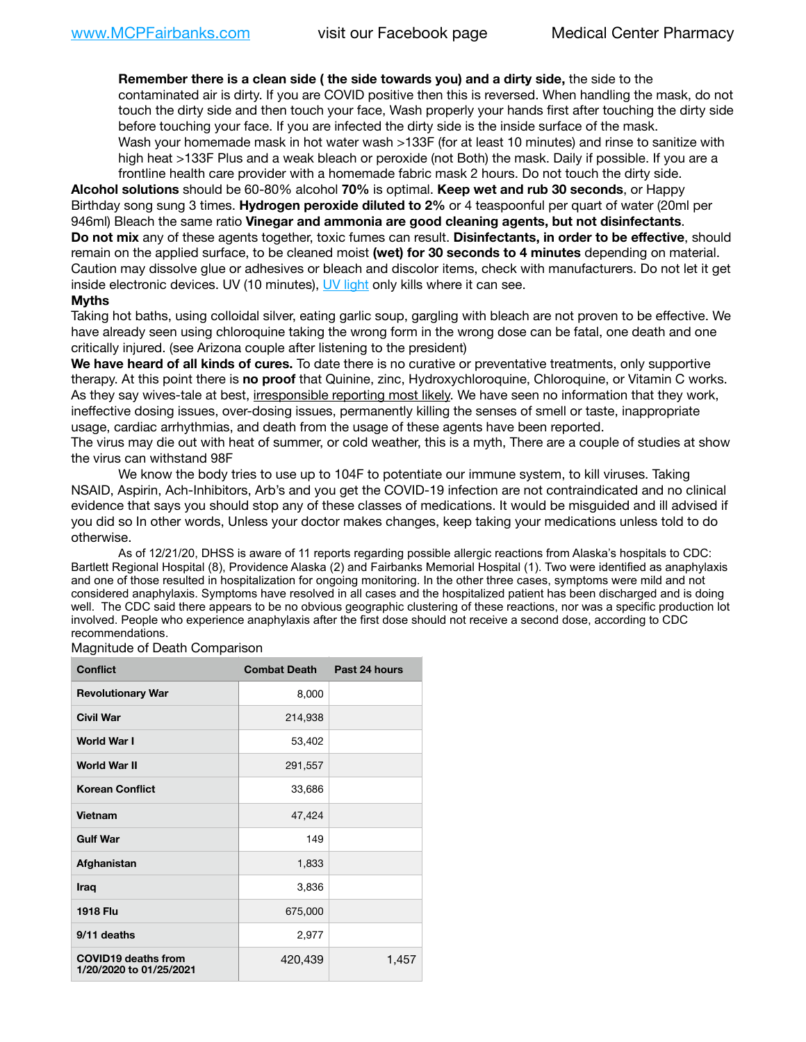**Remember there is a clean side ( the side towards you) and a dirty side,** the side to the contaminated air is dirty. If you are COVID positive then this is reversed. When handling the mask, do not touch the dirty side and then touch your face, Wash properly your hands first after touching the dirty side before touching your face. If you are infected the dirty side is the inside surface of the mask. Wash your homemade mask in hot water wash >133F (for at least 10 minutes) and rinse to sanitize with high heat >133F Plus and a weak bleach or peroxide (not Both) the mask. Daily if possible. If you are a frontline health care provider with a homemade fabric mask 2 hours. Do not touch the dirty side.

**Alcohol solutions** should be 60-80% alcohol **70%** is optimal. **Keep wet and rub 30 seconds**, or Happy Birthday song sung 3 times. **Hydrogen peroxide diluted to 2%** or 4 teaspoonful per quart of water (20ml per 946ml) Bleach the same ratio **Vinegar and ammonia are good cleaning agents, but not disinfectants**. **Do not mix** any of these agents together, toxic fumes can result. **Disinfectants, in order to be effective**, should remain on the applied surface, to be cleaned moist **(wet) for 30 seconds to 4 minutes** depending on material. Caution may dissolve glue or adhesives or bleach and discolor items, check with manufacturers. Do not let it get inside electronic devices. UV (10 minutes), [UV light](http://www.docreviews.me/best-uv-boxes-2020/?fbclid=IwAR3bvFtXB48OoBBSvYvTEnKuHNPbipxM6jUo82QUSw9wckxjC7wwRZWabGw) only kills where it can see.

#### **Myths**

Taking hot baths, using colloidal silver, eating garlic soup, gargling with bleach are not proven to be effective. We have already seen using chloroquine taking the wrong form in the wrong dose can be fatal, one death and one critically injured. (see Arizona couple after listening to the president)

**We have heard of all kinds of cures.** To date there is no curative or preventative treatments, only supportive therapy. At this point there is **no proof** that Quinine, zinc, Hydroxychloroquine, Chloroquine, or Vitamin C works. As they say wives-tale at best, irresponsible reporting most likely. We have seen no information that they work, ineffective dosing issues, over-dosing issues, permanently killing the senses of smell or taste, inappropriate usage, cardiac arrhythmias, and death from the usage of these agents have been reported.

The virus may die out with heat of summer, or cold weather, this is a myth, There are a couple of studies at show the virus can withstand 98F

We know the body tries to use up to 104F to potentiate our immune system, to kill viruses. Taking NSAID, Aspirin, Ach-Inhibitors, Arb's and you get the COVID-19 infection are not contraindicated and no clinical evidence that says you should stop any of these classes of medications. It would be misguided and ill advised if you did so In other words, Unless your doctor makes changes, keep taking your medications unless told to do otherwise.

As of 12/21/20, DHSS is aware of 11 reports regarding possible allergic reactions from Alaska's hospitals to CDC: Bartlett Regional Hospital (8), Providence Alaska (2) and Fairbanks Memorial Hospital (1). Two were identified as anaphylaxis and one of those resulted in hospitalization for ongoing monitoring. In the other three cases, symptoms were mild and not considered anaphylaxis. Symptoms have resolved in all cases and the hospitalized patient has been discharged and is doing well. The CDC said there appears to be no obvious geographic clustering of these reactions, nor was a specific production lot involved. People who experience anaphylaxis after the first dose should not receive a second dose, according to CDC recommendations.

Magnitude of Death Comparison

| <b>Conflict</b>                                       | <b>Combat Death</b> | Past 24 hours |
|-------------------------------------------------------|---------------------|---------------|
| <b>Revolutionary War</b>                              | 8,000               |               |
| <b>Civil War</b>                                      | 214,938             |               |
| <b>World War I</b>                                    | 53,402              |               |
| World War II                                          | 291,557             |               |
| <b>Korean Conflict</b>                                | 33,686              |               |
| <b>Vietnam</b>                                        | 47,424              |               |
| <b>Gulf War</b>                                       | 149                 |               |
| Afghanistan                                           | 1,833               |               |
| <b>Iraq</b>                                           | 3,836               |               |
| <b>1918 Flu</b>                                       | 675,000             |               |
| 9/11 deaths                                           | 2,977               |               |
| <b>COVID19 deaths from</b><br>1/20/2020 to 01/25/2021 | 420,439             | 1,457         |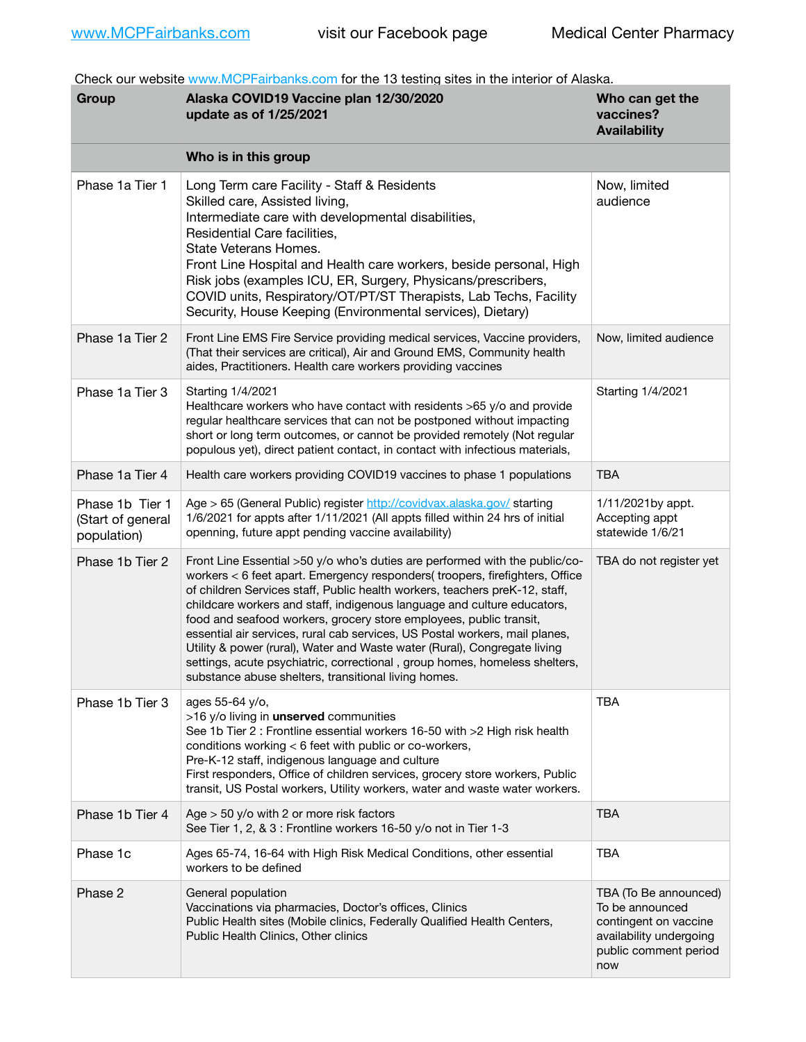Check our website [www.MCPFairbanks.com](http://www.MCPFairbanks.com) for the 13 testing sites in the interior of Alaska.

| Group                                               | Alaska COVID19 Vaccine plan 12/30/2020<br>update as of 1/25/2021                                                                                                                                                                                                                                                                                                                                                                                                                                                                                                                                                                                                                              | Who can get the<br>vaccines?<br><b>Availability</b>                                                                          |
|-----------------------------------------------------|-----------------------------------------------------------------------------------------------------------------------------------------------------------------------------------------------------------------------------------------------------------------------------------------------------------------------------------------------------------------------------------------------------------------------------------------------------------------------------------------------------------------------------------------------------------------------------------------------------------------------------------------------------------------------------------------------|------------------------------------------------------------------------------------------------------------------------------|
|                                                     | Who is in this group                                                                                                                                                                                                                                                                                                                                                                                                                                                                                                                                                                                                                                                                          |                                                                                                                              |
| Phase 1a Tier 1                                     | Long Term care Facility - Staff & Residents<br>Skilled care, Assisted living,<br>Intermediate care with developmental disabilities,<br>Residential Care facilities.<br>State Veterans Homes.<br>Front Line Hospital and Health care workers, beside personal, High<br>Risk jobs (examples ICU, ER, Surgery, Physicans/prescribers,<br>COVID units, Respiratory/OT/PT/ST Therapists, Lab Techs, Facility<br>Security, House Keeping (Environmental services), Dietary)                                                                                                                                                                                                                         | Now, limited<br>audience                                                                                                     |
| Phase 1a Tier 2                                     | Front Line EMS Fire Service providing medical services, Vaccine providers,<br>(That their services are critical), Air and Ground EMS, Community health<br>aides, Practitioners. Health care workers providing vaccines                                                                                                                                                                                                                                                                                                                                                                                                                                                                        | Now, limited audience                                                                                                        |
| Phase 1a Tier 3                                     | Starting 1/4/2021<br>Healthcare workers who have contact with residents >65 y/o and provide<br>regular healthcare services that can not be postponed without impacting<br>short or long term outcomes, or cannot be provided remotely (Not regular<br>populous yet), direct patient contact, in contact with infectious materials,                                                                                                                                                                                                                                                                                                                                                            | Starting 1/4/2021                                                                                                            |
| Phase 1a Tier 4                                     | Health care workers providing COVID19 vaccines to phase 1 populations                                                                                                                                                                                                                                                                                                                                                                                                                                                                                                                                                                                                                         | <b>TBA</b>                                                                                                                   |
| Phase 1b Tier 1<br>(Start of general<br>population) | Age > 65 (General Public) register http://covidvax.alaska.gov/ starting<br>1/6/2021 for appts after 1/11/2021 (All appts filled within 24 hrs of initial<br>openning, future appt pending vaccine availability)                                                                                                                                                                                                                                                                                                                                                                                                                                                                               | 1/11/2021by appt.<br>Accepting appt<br>statewide 1/6/21                                                                      |
| Phase 1b Tier 2                                     | Front Line Essential >50 y/o who's duties are performed with the public/co-<br>workers < 6 feet apart. Emergency responders( troopers, firefighters, Office<br>of children Services staff, Public health workers, teachers preK-12, staff,<br>childcare workers and staff, indigenous language and culture educators,<br>food and seafood workers, grocery store employees, public transit,<br>essential air services, rural cab services, US Postal workers, mail planes,<br>Utility & power (rural), Water and Waste water (Rural), Congregate living<br>settings, acute psychiatric, correctional, group homes, homeless shelters,<br>substance abuse shelters, transitional living homes. | TBA do not register yet                                                                                                      |
| Phase 1b Tier 3                                     | ages 55-64 y/o,<br>>16 y/o living in unserved communities<br>See 1b Tier 2 : Frontline essential workers 16-50 with >2 High risk health<br>conditions working < 6 feet with public or co-workers,<br>Pre-K-12 staff, indigenous language and culture<br>First responders, Office of children services, grocery store workers, Public<br>transit, US Postal workers, Utility workers, water and waste water workers.                                                                                                                                                                                                                                                                           | <b>TBA</b>                                                                                                                   |
| Phase 1b Tier 4                                     | Age $>$ 50 y/o with 2 or more risk factors<br>See Tier 1, 2, & 3 : Frontline workers 16-50 y/o not in Tier 1-3                                                                                                                                                                                                                                                                                                                                                                                                                                                                                                                                                                                | <b>TBA</b>                                                                                                                   |
| Phase 1c                                            | Ages 65-74, 16-64 with High Risk Medical Conditions, other essential<br>workers to be defined                                                                                                                                                                                                                                                                                                                                                                                                                                                                                                                                                                                                 | <b>TBA</b>                                                                                                                   |
| Phase 2                                             | General population<br>Vaccinations via pharmacies, Doctor's offices, Clinics<br>Public Health sites (Mobile clinics, Federally Qualified Health Centers,<br>Public Health Clinics, Other clinics                                                                                                                                                                                                                                                                                                                                                                                                                                                                                              | TBA (To Be announced)<br>To be announced<br>contingent on vaccine<br>availability undergoing<br>public comment period<br>now |